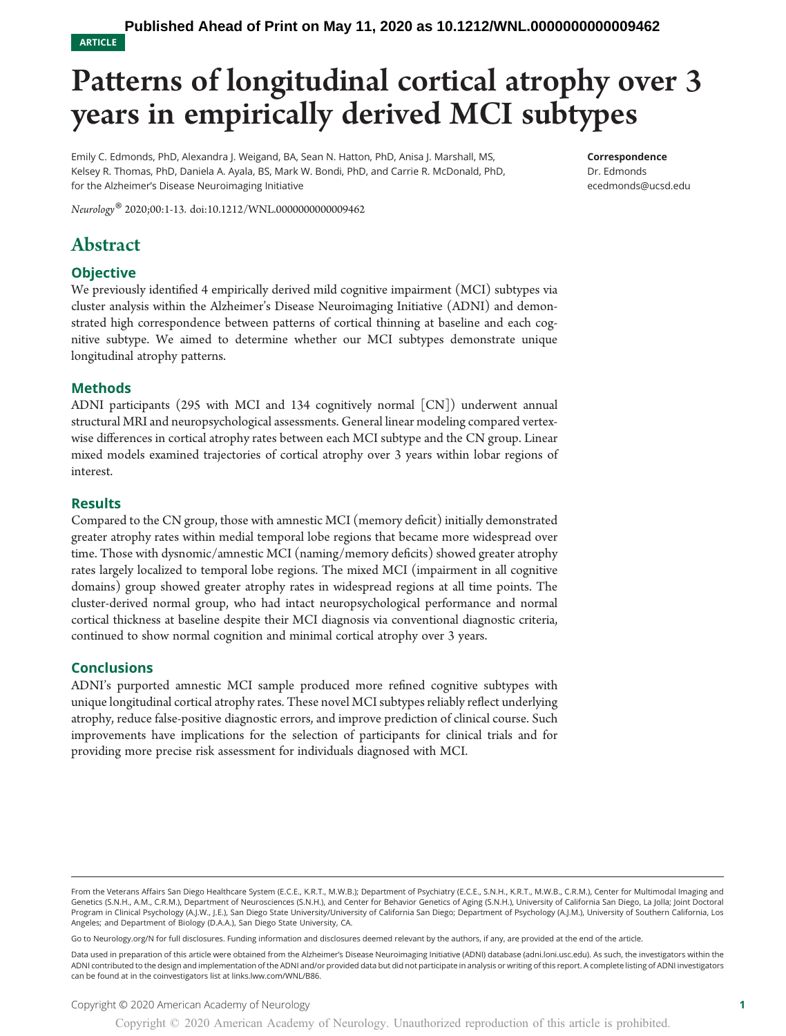ARTICLE

## Patterns of longitudinal cortical atrophy over 3 years in empirically derived MCI subtypes

Emily C. Edmonds, PhD, Alexandra J. Weigand, BA, Sean N. Hatton, PhD, Anisa J. Marshall, MS, Kelsey R. Thomas, PhD, Daniela A. Ayala, BS, Mark W. Bondi, PhD, and Carrie R. McDonald, PhD, for the Alzheimer's Disease Neuroimaging Initiative

Correspondence

Dr. Edmonds [ecedmonds@ucsd.edu](mailto:ecedmonds@ucsd.edu)

Neurology® 2020;00:1-13. doi:[10.1212/WNL.0000000000009462](http://dx.doi.org/10.1212/WNL.0000000000009462)

## Abstract

#### **Objective**

We previously identified 4 empirically derived mild cognitive impairment (MCI) subtypes via cluster analysis within the Alzheimer's Disease Neuroimaging Initiative (ADNI) and demonstrated high correspondence between patterns of cortical thinning at baseline and each cognitive subtype. We aimed to determine whether our MCI subtypes demonstrate unique longitudinal atrophy patterns.

#### Methods

ADNI participants (295 with MCI and 134 cognitively normal [CN]) underwent annual structural MRI and neuropsychological assessments. General linear modeling compared vertexwise differences in cortical atrophy rates between each MCI subtype and the CN group. Linear mixed models examined trajectories of cortical atrophy over 3 years within lobar regions of interest.

#### Results

Compared to the CN group, those with amnestic MCI (memory deficit) initially demonstrated greater atrophy rates within medial temporal lobe regions that became more widespread over time. Those with dysnomic/amnestic MCI (naming/memory deficits) showed greater atrophy rates largely localized to temporal lobe regions. The mixed MCI (impairment in all cognitive domains) group showed greater atrophy rates in widespread regions at all time points. The cluster-derived normal group, who had intact neuropsychological performance and normal cortical thickness at baseline despite their MCI diagnosis via conventional diagnostic criteria, continued to show normal cognition and minimal cortical atrophy over 3 years.

#### **Conclusions**

ADNI's purported amnestic MCI sample produced more refined cognitive subtypes with unique longitudinal cortical atrophy rates. These novel MCI subtypes reliably reflect underlying atrophy, reduce false-positive diagnostic errors, and improve prediction of clinical course. Such improvements have implications for the selection of participants for clinical trials and for providing more precise risk assessment for individuals diagnosed with MCI.

Go to [Neurology.org/N](https://n.neurology.org/lookup/doi/10.1212/WNL.0000000000009462) for full disclosures. Funding information and disclosures deemed relevant by the authors, if any, are provided at the end of the article.

Data used in preparation of this article were obtained from the Alzheimer's Disease Neuroimaging Initiative (ADNI) database [\(adni.loni.usc.edu\)](http://adni.loni.usc.edu). As such, the investigators within the ADNI contributed to the design and implementation of the ADNI and/or provided data but did not participate in analysis or writing of this report. A complete listing of ADNI investigators can be found at in the coinvestigators list at [links.lww.com/WNL/B86](http://links.lww.com/WNL/B86).

From the Veterans Affairs San Diego Healthcare System (E.C.E., K.R.T., M.W.B.); Department of Psychiatry (E.C.E., S.N.H., K.R.T., M.W.B., C.R.M.), Center for Multimodal Imaging and Genetics (S.N.H., A.M., C.R.M.), Department of Neurosciences (S.N.H.), and Center for Behavior Genetics of Aging (S.N.H.), University of California San Diego, La Jolla; Joint Doctoral Program in Clinical Psychology (A.J.W., J.E.), San Diego State University/University of California San Diego; Department of Psychology (A.J.M.), University of Southern California, Los Angeles; and Department of Biology (D.A.A.), San Diego State University, CA.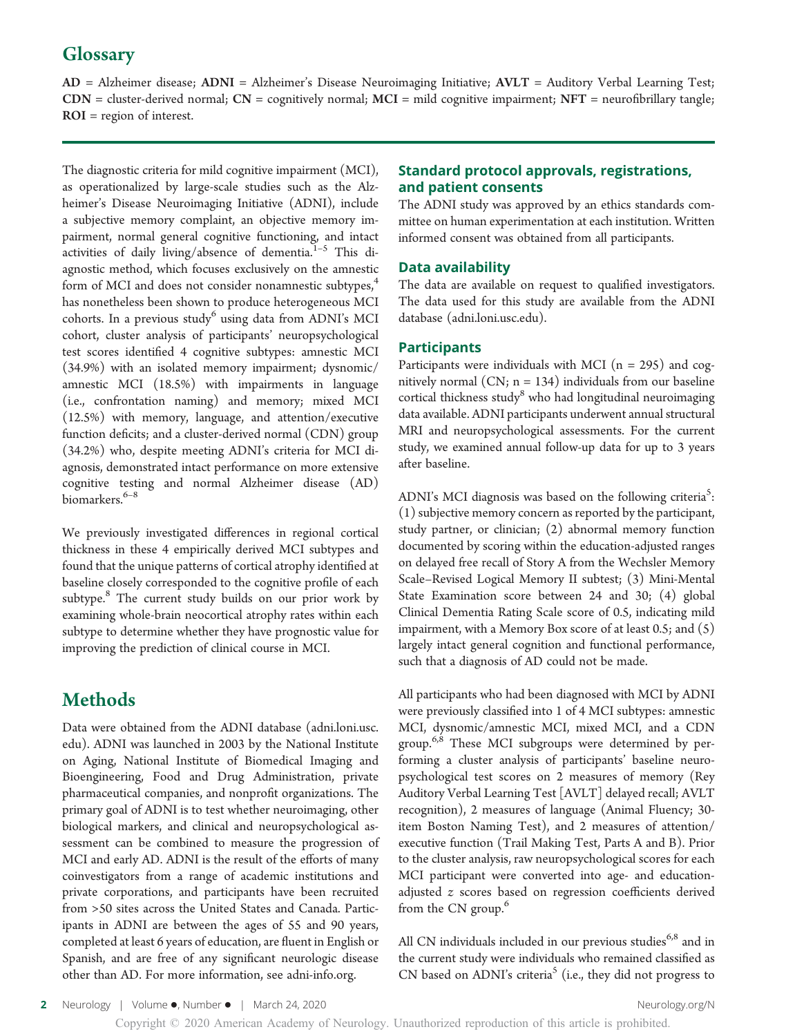## **Glossary**

AD = Alzheimer disease; ADNI = Alzheimer's Disease Neuroimaging Initiative; AVLT = Auditory Verbal Learning Test;  $CDN =$  cluster-derived normal;  $CN =$  cognitively normal;  $MCI =$  mild cognitive impairment;  $NFT =$  neurofibrillary tangle; ROI = region of interest.

The diagnostic criteria for mild cognitive impairment (MCI), as operationalized by large-scale studies such as the Alzheimer's Disease Neuroimaging Initiative (ADNI), include a subjective memory complaint, an objective memory impairment, normal general cognitive functioning, and intact activities of daily living/absence of dementia. $1-5$  This diagnostic method, which focuses exclusively on the amnestic form of MCI and does not consider nonamnestic subtypes,<sup>4</sup> has nonetheless been shown to produce heterogeneous MCI cohorts. In a previous study<sup>6</sup> using data from ADNI's MCI cohort, cluster analysis of participants' neuropsychological test scores identified 4 cognitive subtypes: amnestic MCI (34.9%) with an isolated memory impairment; dysnomic/ amnestic MCI (18.5%) with impairments in language (i.e., confrontation naming) and memory; mixed MCI (12.5%) with memory, language, and attention/executive function deficits; and a cluster-derived normal (CDN) group (34.2%) who, despite meeting ADNI's criteria for MCI diagnosis, demonstrated intact performance on more extensive cognitive testing and normal Alzheimer disease (AD) biomarkers.<sup>6–8</sup>

We previously investigated differences in regional cortical thickness in these 4 empirically derived MCI subtypes and found that the unique patterns of cortical atrophy identified at baseline closely corresponded to the cognitive profile of each subtype. $8$  The current study builds on our prior work by examining whole-brain neocortical atrophy rates within each subtype to determine whether they have prognostic value for improving the prediction of clinical course in MCI.

## **Methods**

Data were obtained from the ADNI database [\(adni.loni.usc.](http://adni.loni.usc.edu) [edu\)](http://adni.loni.usc.edu). ADNI was launched in 2003 by the National Institute on Aging, National Institute of Biomedical Imaging and Bioengineering, Food and Drug Administration, private pharmaceutical companies, and nonprofit organizations. The primary goal of ADNI is to test whether neuroimaging, other biological markers, and clinical and neuropsychological assessment can be combined to measure the progression of MCI and early AD. ADNI is the result of the efforts of many coinvestigators from a range of academic institutions and private corporations, and participants have been recruited from >50 sites across the United States and Canada. Participants in ADNI are between the ages of 55 and 90 years, completed at least 6 years of education, are fluent in English or Spanish, and are free of any significant neurologic disease other than AD. For more information, see [adni-info.org](http://www.adni-info.org).

#### Standard protocol approvals, registrations, and patient consents

The ADNI study was approved by an ethics standards committee on human experimentation at each institution. Written informed consent was obtained from all participants.

#### Data availability

The data are available on request to qualified investigators. The data used for this study are available from the ADNI database ([adni.loni.usc.edu\)](http://adni.loni.usc.edu).

#### **Participants**

Participants were individuals with MCI ( $n = 295$ ) and cognitively normal  $(CN; n = 134)$  individuals from our baseline cortical thickness study<sup>8</sup> who had longitudinal neuroimaging data available. ADNI participants underwent annual structural MRI and neuropsychological assessments. For the current study, we examined annual follow-up data for up to 3 years after baseline.

ADNI's MCI diagnosis was based on the following criteria<sup>5</sup>: (1) subjective memory concern as reported by the participant, study partner, or clinician; (2) abnormal memory function documented by scoring within the education-adjusted ranges on delayed free recall of Story A from the Wechsler Memory Scale–Revised Logical Memory II subtest; (3) Mini-Mental State Examination score between 24 and 30; (4) global Clinical Dementia Rating Scale score of 0.5, indicating mild impairment, with a Memory Box score of at least 0.5; and (5) largely intact general cognition and functional performance, such that a diagnosis of AD could not be made.

All participants who had been diagnosed with MCI by ADNI were previously classified into 1 of 4 MCI subtypes: amnestic MCI, dysnomic/amnestic MCI, mixed MCI, and a CDN group.<sup>6,8</sup> These MCI subgroups were determined by performing a cluster analysis of participants' baseline neuropsychological test scores on 2 measures of memory (Rey Auditory Verbal Learning Test [AVLT] delayed recall; AVLT recognition), 2 measures of language (Animal Fluency; 30 item Boston Naming Test), and 2 measures of attention/ executive function (Trail Making Test, Parts A and B). Prior to the cluster analysis, raw neuropsychological scores for each MCI participant were converted into age- and educationadjusted z scores based on regression coefficients derived from the CN group.<sup>6</sup>

All CN individuals included in our previous studies<sup>6,8</sup> and in the current study were individuals who remained classified as CN based on ADNI's criteria<sup>5</sup> (i.e., they did not progress to

2 Neurology | Volume •, Number • | March 24, 2020 [Neurology.org/N](http://neurology.org/n) Neurology.org/N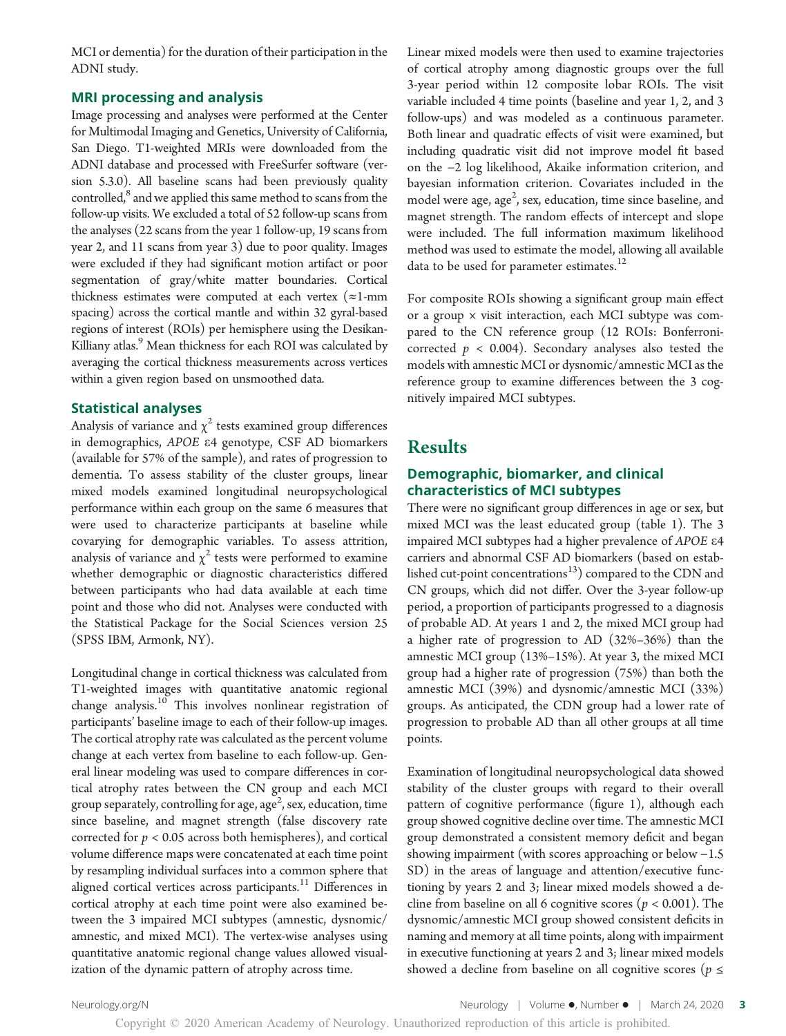MCI or dementia) for the duration of their participation in the ADNI study.

#### MRI processing and analysis

Image processing and analyses were performed at the Center for Multimodal Imaging and Genetics, University of California, San Diego. T1-weighted MRIs were downloaded from the ADNI database and processed with FreeSurfer software (version 5.3.0). All baseline scans had been previously quality controlled,<sup>8</sup> and we applied this same method to scans from the follow-up visits. We excluded a total of 52 follow-up scans from the analyses (22 scans from the year 1 follow-up, 19 scans from year 2, and 11 scans from year 3) due to poor quality. Images were excluded if they had significant motion artifact or poor segmentation of gray/white matter boundaries. Cortical thickness estimates were computed at each vertex  $(\approx 1$ -mm spacing) across the cortical mantle and within 32 gyral-based regions of interest (ROIs) per hemisphere using the Desikan-Killiany atlas.<sup>9</sup> Mean thickness for each ROI was calculated by averaging the cortical thickness measurements across vertices within a given region based on unsmoothed data.

#### Statistical analyses

Analysis of variance and  $\chi^2$  tests examined group differences in demographics, APOE <sup>e</sup>4 genotype, CSF AD biomarkers (available for 57% of the sample), and rates of progression to dementia. To assess stability of the cluster groups, linear mixed models examined longitudinal neuropsychological performance within each group on the same 6 measures that were used to characterize participants at baseline while covarying for demographic variables. To assess attrition, analysis of variance and  $\chi^2$  tests were performed to examine whether demographic or diagnostic characteristics differed between participants who had data available at each time point and those who did not. Analyses were conducted with the Statistical Package for the Social Sciences version 25 (SPSS IBM, Armonk, NY).

Longitudinal change in cortical thickness was calculated from T1-weighted images with quantitative anatomic regional change analysis.<sup>10</sup> This involves nonlinear registration of participants' baseline image to each of their follow-up images. The cortical atrophy rate was calculated as the percent volume change at each vertex from baseline to each follow-up. General linear modeling was used to compare differences in cortical atrophy rates between the CN group and each MCI group separately, controlling for age, age<sup>2</sup>, sex, education, time since baseline, and magnet strength (false discovery rate corrected for  $p < 0.05$  across both hemispheres), and cortical volume difference maps were concatenated at each time point by resampling individual surfaces into a common sphere that aligned cortical vertices across participants.<sup>11</sup> Differences in cortical atrophy at each time point were also examined between the 3 impaired MCI subtypes (amnestic, dysnomic/ amnestic, and mixed MCI). The vertex-wise analyses using quantitative anatomic regional change values allowed visualization of the dynamic pattern of atrophy across time.

Linear mixed models were then used to examine trajectories of cortical atrophy among diagnostic groups over the full 3-year period within 12 composite lobar ROIs. The visit variable included 4 time points (baseline and year 1, 2, and 3 follow-ups) and was modeled as a continuous parameter. Both linear and quadratic effects of visit were examined, but including quadratic visit did not improve model fit based on the −2 log likelihood, Akaike information criterion, and bayesian information criterion. Covariates included in the model were age, age $^2$ , sex, education, time since baseline, and magnet strength. The random effects of intercept and slope were included. The full information maximum likelihood method was used to estimate the model, allowing all available data to be used for parameter estimates.<sup>12</sup>

For composite ROIs showing a significant group main effect or a group  $\times$  visit interaction, each MCI subtype was compared to the CN reference group (12 ROIs: Bonferronicorrected  $p < 0.004$ ). Secondary analyses also tested the models with amnestic MCI or dysnomic/amnestic MCI as the reference group to examine differences between the 3 cognitively impaired MCI subtypes.

## Results

#### Demographic, biomarker, and clinical characteristics of MCI subtypes

There were no significant group differences in age or sex, but mixed MCI was the least educated group (table 1). The 3 impaired MCI subtypes had a higher prevalence of APOE <sup>e</sup><sup>4</sup> carriers and abnormal CSF AD biomarkers (based on established cut-point concentrations $^{13}$ ) compared to the CDN and CN groups, which did not differ. Over the 3-year follow-up period, a proportion of participants progressed to a diagnosis of probable AD. At years 1 and 2, the mixed MCI group had a higher rate of progression to AD (32%–36%) than the amnestic MCI group (13%–15%). At year 3, the mixed MCI group had a higher rate of progression (75%) than both the amnestic MCI (39%) and dysnomic/amnestic MCI (33%) groups. As anticipated, the CDN group had a lower rate of progression to probable AD than all other groups at all time points.

Examination of longitudinal neuropsychological data showed stability of the cluster groups with regard to their overall pattern of cognitive performance (figure 1), although each group showed cognitive decline over time. The amnestic MCI group demonstrated a consistent memory deficit and began showing impairment (with scores approaching or below −1.5 SD) in the areas of language and attention/executive functioning by years 2 and 3; linear mixed models showed a decline from baseline on all 6 cognitive scores ( $p < 0.001$ ). The dysnomic/amnestic MCI group showed consistent deficits in naming and memory at all time points, along with impairment in executive functioning at years 2 and 3; linear mixed models showed a decline from baseline on all cognitive scores ( $p \leq$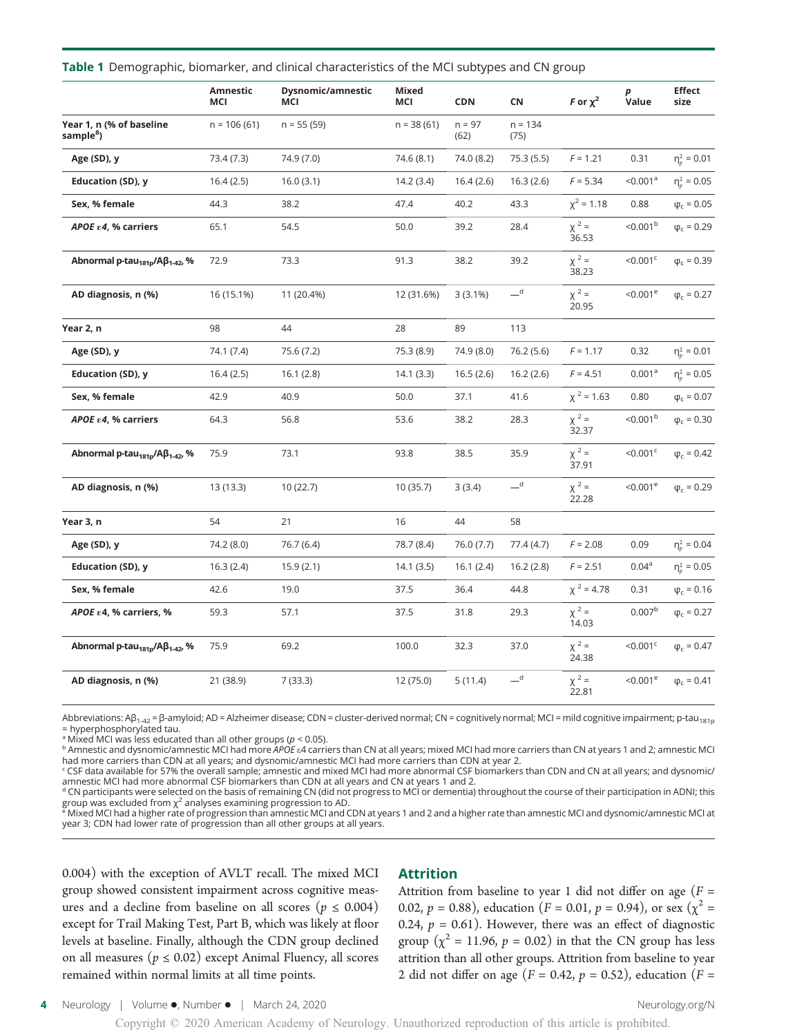|                                                        | <b>Amnestic</b><br>MCI | Dysnomic/amnestic<br>MCI | Mixed<br>MCI | <b>CDN</b>       | CN                | F or $\chi^2$       | р<br>Value             | <b>Effect</b><br>size |
|--------------------------------------------------------|------------------------|--------------------------|--------------|------------------|-------------------|---------------------|------------------------|-----------------------|
| Year 1, n (% of baseline<br>sample <sup>8</sup> )      | $n = 106(61)$          | $n = 55(59)$             | $n = 38(61)$ | $n = 97$<br>(62) | $n = 134$<br>(75) |                     |                        |                       |
| Age (SD), y                                            | 73.4 (7.3)             | 74.9 (7.0)               | 74.6 (8.1)   | 74.0 (8.2)       | 75.3(5.5)         | $F = 1.21$          | 0.31                   | $\eta_p^2 = 0.01$     |
| Education (SD), y                                      | 16.4(2.5)              | 16.0(3.1)                | 14.2(3.4)    | 16.4(2.6)        | 16.3(2.6)         | $F = 5.34$          | < 0.001 <sup>a</sup>   | $\eta_p^2 = 0.05$     |
| Sex, % female                                          | 44.3                   | 38.2                     | 47.4         | 40.2             | 43.3              | $\chi^2$ = 1.18     | 0.88                   | $φc = 0.05$           |
| APOE $\varepsilon$ 4, % carriers                       | 65.1                   | 54.5                     | 50.0         | 39.2             | 28.4              | $\chi^2 =$<br>36.53 | $< 0.001^b$            | $\phi_c = 0.29$       |
| Abnormal p-tau <sub>181p</sub> /Aβ <sub>1-42</sub> , % | 72.9                   | 73.3                     | 91.3         | 38.2             | 39.2              | $\chi^2 =$<br>38.23 | $< 0.001$ <sup>c</sup> | $\phi_c = 0.39$       |
| AD diagnosis, n (%)                                    | 16 (15.1%)             | 11 (20.4%)               | 12 (31.6%)   | $3(3.1\%)$       | $-d$              | $\chi^2 =$<br>20.95 | $< 0.001^e$            | $\varphi_c = 0.27$    |
| Year 2, n                                              | 98                     | 44                       | 28           | 89               | 113               |                     |                        |                       |
| Age (SD), y                                            | 74.1 (7.4)             | 75.6 (7.2)               | 75.3 (8.9)   | 74.9 (8.0)       | 76.2(5.6)         | $F = 1.17$          | 0.32                   | $\eta_p^2 = 0.01$     |
| <b>Education (SD), y</b>                               | 16.4(2.5)              | 16.1(2.8)                | 14.1(3.3)    | 16.5(2.6)        | 16.2(2.6)         | $F = 4.51$          | 0.001 <sup>a</sup>     | $\eta_p^2 = 0.05$     |
| Sex, % female                                          | 42.9                   | 40.9                     | 50.0         | 37.1             | 41.6              | $\chi^2$ = 1.63     | 0.80                   | $\phi_c=0.07$         |
| APOE ε4, % carriers                                    | 64.3                   | 56.8                     | 53.6         | 38.2             | 28.3              | $\chi^2 =$<br>32.37 | < 0.001 <sup>b</sup>   | $\phi_c = 0.30$       |
| Abnormal p-tau <sub>181p</sub> /Aβ <sub>1-42</sub> ,%  | 75.9                   | 73.1                     | 93.8         | 38.5             | 35.9              | $\chi^2 =$<br>37.91 | $< 0.001$ <sup>c</sup> | $\varphi_c = 0.42$    |
| AD diagnosis, n (%)                                    | 13 (13.3)              | 10(22.7)                 | 10(35.7)     | 3(3.4)           | $-^{\rm d}$       | $\chi^2 =$<br>22.28 | $< 0.001^e$            | $\phi_c = 0.29$       |
| Year 3, n                                              | 54                     | 21                       | 16           | 44               | 58                |                     |                        |                       |
| Age (SD), y                                            | 74.2 (8.0)             | 76.7 (6.4)               | 78.7 (8.4)   | 76.0 (7.7)       | 77.4(4.7)         | $F = 2.08$          | 0.09                   | $\eta_p^2 = 0.04$     |
| Education (SD), y                                      | 16.3(2.4)              | 15.9(2.1)                | 14.1(3.5)    | 16.1(2.4)        | 16.2(2.8)         | $F = 2.51$          | 0.04 <sup>a</sup>      | $\eta_p^2 = 0.05$     |
| Sex, % female                                          | 42.6                   | 19.0                     | 37.5         | 36.4             | 44.8              | $\chi^2$ = 4.78     | 0.31                   | $\phi_c = 0.16$       |
| APOE $\epsilon$ 4, % carriers, %                       | 59.3                   | 57.1                     | 37.5         | 31.8             | 29.3              | $\chi^2 =$<br>14.03 | 0.007 <sup>b</sup>     | $\varphi_c = 0.27$    |
| Abnormal p-tau $_{181p}$ /A $\beta_{1-42}$ , %         | 75.9                   | 69.2                     | 100.0        | 32.3             | 37.0              | $x^2 =$<br>24.38    | $< 0.001$ <sup>c</sup> | $\phi_c = 0.47$       |
| AD diagnosis, n (%)                                    | 21 (38.9)              | 7(33.3)                  | 12(75.0)     | 5(11.4)          | $-d$              | $\chi^2 =$<br>22.81 | $< 0.001^e$            | $\phi_c = 0.41$       |

#### Table 1 Demographic, biomarker, and clinical characteristics of the MCI subtypes and CN group

Abbreviations: Aβ<sub>1-42</sub> = β-amyloid; AD = Alzheimer disease; CDN = cluster-derived normal; CN = cognitively normal; MCI = mild cognitive impairment; p-tau<sub>181p</sub> = hyperphosphorylated tau.

<sup>a</sup> Mixed MCI was less educated than all other groups (p < 0.05).<br><sup>b</sup> Amnestic and dysnomic/amnestic MCI had more APOE ε4 carriers than CN at all years; mixed MCI had more carriers than CN at years 1 and 2; amnestic MCI had more carriers than CDN at all years; and dysnomic/amnestic MCI had more carriers than CDN at year 2.

<sup>c</sup> CSF data available for 57% the overall sample; amnestic and mixed MCI had more abnormal CSF biomarkers than CDN and CN at all years; and dysnomic/ amnestic MCI had more abnormal CSF biomarkers than CDN at all years and CN at years 1 and 2.

<sup>d</sup> CN participants were selected on the basis of remaining CN (did not progress to MCI or dementia) throughout the course of their participation in ADNI; this group was excluded from χ<sup>2</sup> analyses examining progression to AD. e Mixed MCI and a higher rate than amnestic MCI and dysnomic/amnestic MCI at<br><sup>e</sup> Mixed MCI had a higher rate of progression than amnestic MCI and CDN at ye

year 3; CDN had lower rate of progression than all other groups at all years.

0.004) with the exception of AVLT recall. The mixed MCI group showed consistent impairment across cognitive measures and a decline from baseline on all scores ( $p \leq 0.004$ ) except for Trail Making Test, Part B, which was likely at floor levels at baseline. Finally, although the CDN group declined on all measures ( $p \le 0.02$ ) except Animal Fluency, all scores remained within normal limits at all time points.

#### Attrition

Attrition from baseline to year 1 did not differ on age ( $F =$ 0.02,  $p = 0.88$ ), education ( $F = 0.01$ ,  $p = 0.94$ ), or sex ( $\chi^2 =$ 0.24,  $p = 0.61$ ). However, there was an effect of diagnostic group ( $\chi^2$  = 11.96, p = 0.02) in that the CN group has less attrition than all other groups. Attrition from baseline to year 2 did not differ on age ( $F = 0.42$ ,  $p = 0.52$ ), education ( $F =$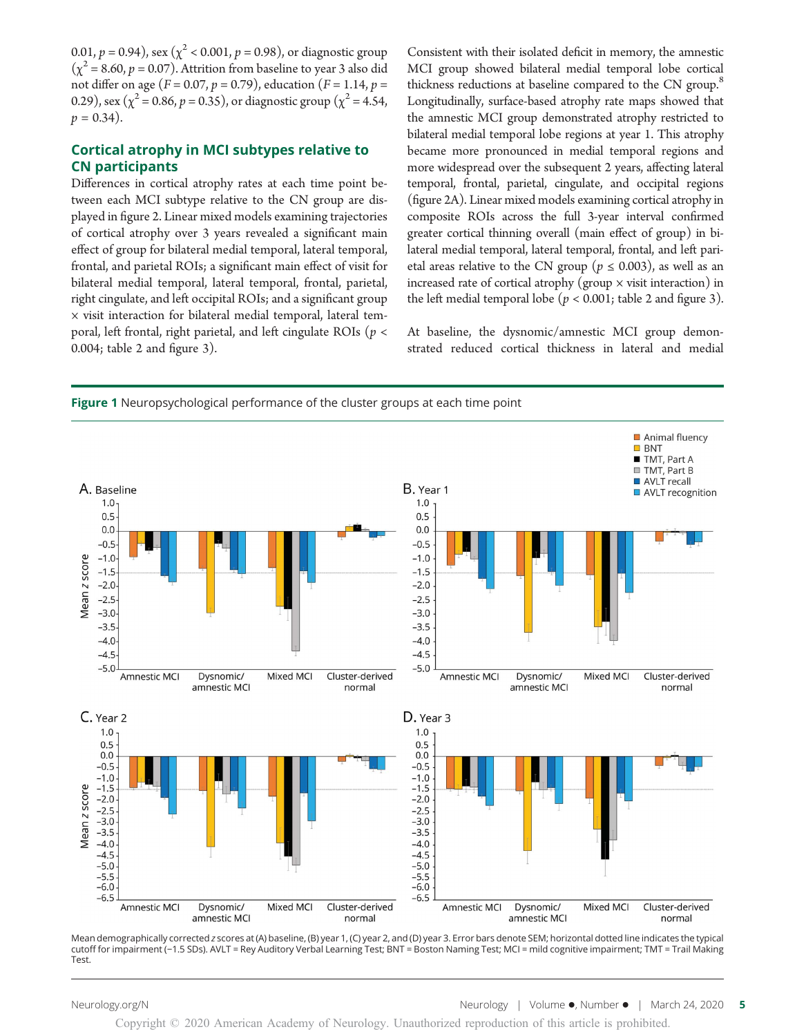0.01,  $p = 0.94$ ), sex ( $\chi^2$  < 0.001,  $p = 0.98$ ), or diagnostic group  $(\chi^2 = 8.60, p = 0.07)$ . Attrition from baseline to year 3 also did not differ on age ( $F = 0.07$ ,  $p = 0.79$ ), education ( $F = 1.14$ ,  $p =$ 0.29), sex ( $\chi^2$  = 0.86, p = 0.35), or diagnostic group ( $\chi^2$  = 4.54,  $p = 0.34$ ).

#### Cortical atrophy in MCI subtypes relative to CN participants

Differences in cortical atrophy rates at each time point between each MCI subtype relative to the CN group are displayed in figure 2. Linear mixed models examining trajectories of cortical atrophy over 3 years revealed a significant main effect of group for bilateral medial temporal, lateral temporal, frontal, and parietal ROIs; a significant main effect of visit for bilateral medial temporal, lateral temporal, frontal, parietal, right cingulate, and left occipital ROIs; and a significant group  $\times$  visit interaction for bilateral medial temporal, lateral temporal, left frontal, right parietal, and left cingulate ROIs ( $p <$ 0.004; table 2 and figure 3).

Consistent with their isolated deficit in memory, the amnestic MCI group showed bilateral medial temporal lobe cortical thickness reductions at baseline compared to the CN group.<sup>8</sup> Longitudinally, surface-based atrophy rate maps showed that the amnestic MCI group demonstrated atrophy restricted to bilateral medial temporal lobe regions at year 1. This atrophy became more pronounced in medial temporal regions and more widespread over the subsequent 2 years, affecting lateral temporal, frontal, parietal, cingulate, and occipital regions (figure 2A). Linear mixed models examining cortical atrophy in composite ROIs across the full 3-year interval confirmed greater cortical thinning overall (main effect of group) in bilateral medial temporal, lateral temporal, frontal, and left parietal areas relative to the CN group ( $p \le 0.003$ ), as well as an increased rate of cortical atrophy (group  $\times$  visit interaction) in the left medial temporal lobe ( $p < 0.001$ ; table 2 and figure 3).

At baseline, the dysnomic/amnestic MCI group demonstrated reduced cortical thickness in lateral and medial



Mean demographically corrected z scores at (A) baseline, (B) year 1, (C) year 2, and (D) year 3. Error bars denote SEM; horizontal dotted line indicates the typical cutoff for impairment (−1.5 SDs). AVLT = Rey Auditory Verbal Learning Test; BNT = Boston Naming Test; MCI = mild cognitive impairment; TMT = Trail Making Test.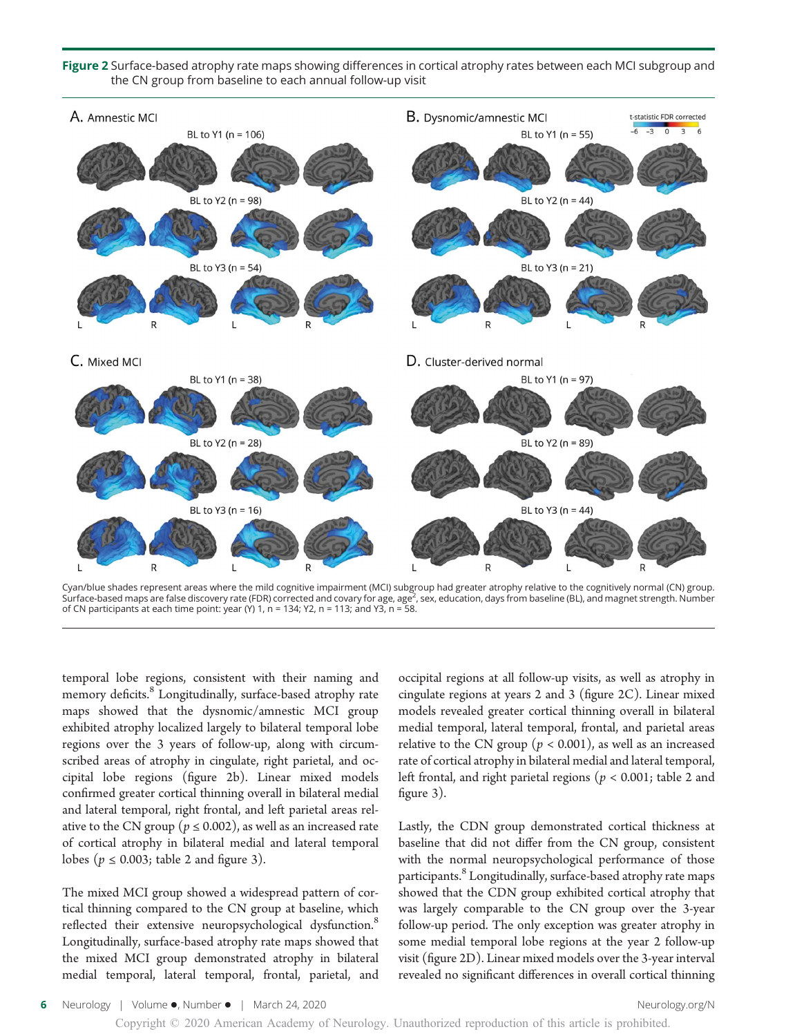Figure 2 Surface-based atrophy rate maps showing differences in cortical atrophy rates between each MCI subgroup and the CN group from baseline to each annual follow-up visit



Cyan/blue shades represent areas where the mild cognitive impairment (MCI) subgroup had greater atrophy relative to the cognitively normal (CN) group.<br>Surface-based maps are false discovery rate (FDR) corrected and covary of CN participants at each time point: year (Y) 1,  $n = 134$ ; Y2,  $n = 113$ ; and Y3,  $n = 58$ .

temporal lobe regions, consistent with their naming and memory deficits.<sup>8</sup> Longitudinally, surface-based atrophy rate maps showed that the dysnomic/amnestic MCI group exhibited atrophy localized largely to bilateral temporal lobe regions over the 3 years of follow-up, along with circumscribed areas of atrophy in cingulate, right parietal, and occipital lobe regions (figure 2b). Linear mixed models confirmed greater cortical thinning overall in bilateral medial and lateral temporal, right frontal, and left parietal areas relative to the CN group ( $p \le 0.002$ ), as well as an increased rate of cortical atrophy in bilateral medial and lateral temporal lobes ( $p \le 0.003$ ; table 2 and figure 3).

The mixed MCI group showed a widespread pattern of cortical thinning compared to the CN group at baseline, which reflected their extensive neuropsychological dysfunction.<sup>8</sup> Longitudinally, surface-based atrophy rate maps showed that the mixed MCI group demonstrated atrophy in bilateral medial temporal, lateral temporal, frontal, parietal, and occipital regions at all follow-up visits, as well as atrophy in cingulate regions at years 2 and 3 (figure 2C). Linear mixed models revealed greater cortical thinning overall in bilateral medial temporal, lateral temporal, frontal, and parietal areas relative to the CN group ( $p < 0.001$ ), as well as an increased rate of cortical atrophy in bilateral medial and lateral temporal, left frontal, and right parietal regions ( $p < 0.001$ ; table 2 and figure 3).

Lastly, the CDN group demonstrated cortical thickness at baseline that did not differ from the CN group, consistent with the normal neuropsychological performance of those participants.<sup>8</sup> Longitudinally, surface-based atrophy rate maps showed that the CDN group exhibited cortical atrophy that was largely comparable to the CN group over the 3-year follow-up period. The only exception was greater atrophy in some medial temporal lobe regions at the year 2 follow-up visit (figure 2D). Linear mixed models over the 3-year interval revealed no significant differences in overall cortical thinning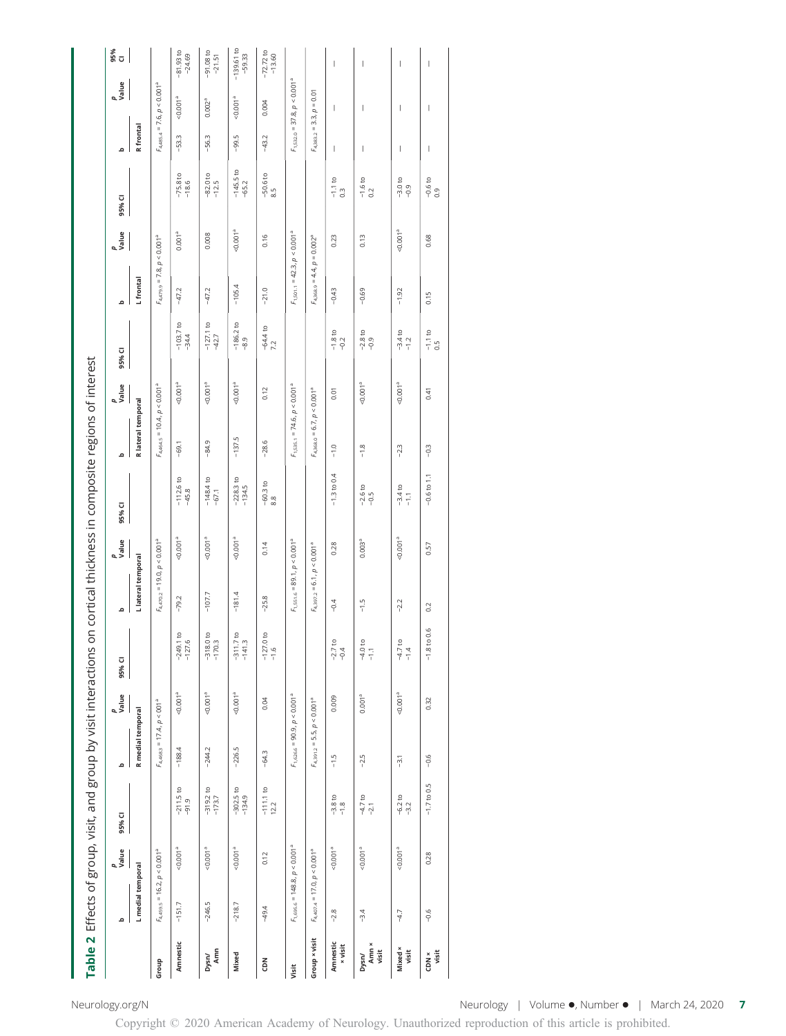|                            |                                  |                                   |                         |                   |                                              | Table 2 Effects of group, visit, and group by visit interactions on cortical thickness in composite regions of interest |                                 |                                     |                                |                                 |                                                |                        |           |                                  |                        |                          |                                  |                          |
|----------------------------|----------------------------------|-----------------------------------|-------------------------|-------------------|----------------------------------------------|-------------------------------------------------------------------------------------------------------------------------|---------------------------------|-------------------------------------|--------------------------------|---------------------------------|------------------------------------------------|------------------------|-----------|----------------------------------|------------------------|--------------------------|----------------------------------|--------------------------|
|                            | م                                | p<br>Value                        | 95% CI                  | ء                 | p<br>Value                                   | 95% CI                                                                                                                  | ە                               | p<br>Value                          | 95% CI                         | ە                               | p<br>Value                                     | 95% CI                 | ە         | p<br>Value                       | 95% CI                 | $\Omega$                 | p<br>Value                       | ទី<br>ច                  |
|                            | L medial temporal                |                                   |                         | R medial temporal |                                              |                                                                                                                         | Llateral temporal               |                                     |                                | R lateral temporal              |                                                |                        | L frontal |                                  |                        | R frontal                |                                  |                          |
| Group                      | $F_{4,459.5} = 16.2, p < 0.001a$ |                                   |                         |                   | $F_{4,468.3}$ = 17.4, $p < 001$ <sup>a</sup> |                                                                                                                         |                                 | $F_{4,470.2} = 19.0,\, p < 0.001^a$ |                                |                                 | $F_{4,464.5}$ = 10.4, $p < 0.001$ <sup>a</sup> |                        |           | $F_{4,479.9} = 7.8, p < 0.001a$  |                        |                          | $F_{4,485.4} = 7.6, p < 0.001a$  |                          |
| Amnestic                   | $-151.7$                         | $-0.001a$                         | $-211.5$ to<br>$-91.9$  | $-188.4$          | < 0.001 <sup>a</sup>                         | C<br>$-127.6$<br>$-249.1$                                                                                               | $-79.2$                         | 100(0.00)                           | $-112.6$ to<br>$-45.8$         | $-69.1$                         | $-0.001a$                                      | $-103.7 to$<br>$-34.4$ | $-47.2$   | 0.001 <sup>a</sup>               | $-75.8$ to $-18.6$     | $-53.3$                  | 0.001 <sup>a</sup>               | $-81.93$ to<br>$-24.69$  |
| Amn<br>Dysn/               | $-246.5$                         | $-0.001$ <sup>a</sup>             | $-319.2$ to<br>$-173.7$ | $-244.2$          | $0.001$ <sup>a</sup>                         | $-318.0 to$<br>$-170.3$                                                                                                 | $-107.7$                        | $-0.001$ <sup>a</sup>               | $-148.4$ to<br>$-67.1$         | $-84.9$                         | $-0.001a$                                      | $-127.1$ to<br>$-42.7$ | $-47.2$   | 0.008                            | $-82.0$ to<br>$-12.5$  | $-56.3$                  | 0.002 <sup>a</sup>               | $-91.08$ to<br>$-21.51$  |
| Mixed                      | $-218.7$                         | $-0.001$ <sup>a</sup>             | $-302.5$ to<br>$-134.9$ | $-226.5$          | $0.001^{a}$                                  | g<br>$-141.3$<br>$-311.7$                                                                                               | $-181.4$                        | $-0.001$ <sup>a</sup>               | $-228.3$ to<br>$-134.5$        | $-137.5$                        | $-0.001a$                                      | $-186.2 to$<br>$-8.9$  | $-105.4$  | $-0.001$ <sup>a</sup>            | $-145.5$ to<br>$-65.2$ | $-99.5$                  | $-0.001$                         | $-139.61$ to<br>$-59.33$ |
| c DN                       | $-49.4$                          | 0.12                              | $-111.1$ to $12.2$      | $-64.3$           | 0.04                                         | $-127.0 \text{ to}$<br>$-1.6$                                                                                           | $-25.8$                         | 0.14                                | $\frac{-60.3 \text{ to}}{8.8}$ | $-28.6$                         | 0.12                                           | $-64.4$ to $7.2$       | $-21.0$   | 0.16                             | $-50.6 to$<br>8.5      | $-43.2$                  | 0.004                            | $-72.72$ to<br>$-13.60$  |
| Visit                      |                                  | $F_{1,695.6} = 148.8, p < 0.001a$ |                         |                   | $F_{1,626.6} = 90.9, p < 0.001a$             |                                                                                                                         |                                 | $F_{1,551.6} = 89.1, p < 0.001a$    |                                |                                 | $F_{1,535,1} = 74.6, p < 0.001a$               |                        |           | $F_{1,501.1} = 42.3, p < 0.001a$ |                        |                          | $F_{1,532.0} = 37.8, p < 0.001a$ |                          |
| Group × visit              | $F_{4,407,4} = 17.0, p < 0.001a$ |                                   |                         |                   | $F_{4,391.2} = 5.5, p < 0.001a$              |                                                                                                                         | $F_{4,397.2} = 6.1, p < 0.001a$ |                                     |                                | $F_{4,368.0} = 6.7, p < 0.001a$ |                                                |                        |           | $F_{4,368.9} = 4.4, p = 0.002a$  |                        |                          | $F_{4,383.2} = 3.3, p = 0.01$    |                          |
| Amnestic<br><b>x</b> visit | $-2.8$                           | $-0.001$ <sup>a</sup>             | $-3.8$ to<br>$-1.8$     | $-1.5$            | 0.009                                        | $-2.7$ to<br>$-0.4$                                                                                                     | $-0.4$                          | 0.28                                | $-1.3$ to 0.4                  | $-1.0$                          | 0.01                                           | $-1.8 to$<br>$-0.2$    | $-0.43$   | 0.23                             | $-1.1$ to 0.3          | I                        | I                                | $\overline{\phantom{a}}$ |
| Amn ×<br>visit<br>Dysn/    | $-3.4$                           | $-0.001$ <sup>a</sup>             | $-4.7$ to<br>$-2.1$     | $-2.5$            | 0.001 <sup>a</sup>                           | $-4.0 \text{ to }$<br>$-1.1$                                                                                            | $-1.5$                          | 0.003 <sup>a</sup>                  | $-2.6$ to<br>$-9.5$            | $-1.8$                          | $-0.001$ <sup>a</sup>                          | $-2.8$ to<br>$-0.9$    | $-0.69$   | 0.13                             | $-1.6$ to 0.2          | I                        | I                                | I                        |
| Mixed ×<br>visit           | $-4.7$                           | $-0.001a$                         | $-6.2$ to<br>$-3.2$     | $-3.1$            | $0.001^{a}$                                  | $-4.7$ to<br>$-1.4$                                                                                                     | $-2.2$                          | $-0.0013$                           | $-3.4$ to<br>$-1.1$            | $-2.3$                          | $-0.001a$                                      | $-3.4$ to<br>-1.2      | $-1.92$   | $-0.001$ <sup>a</sup>            | $-3.0$ to<br>$-0.9$    | I                        | I                                | $\overline{\phantom{a}}$ |
| visit<br>$CDN \times$      | $-0.6$                           | 0.28                              | $-1.7$ to 0.5           | $-0.6$            | 0.32                                         | $-1.8$ to 0.6                                                                                                           | 0.2                             | 0.57                                | $-0.6$ to $1.1$                | $-0.3$                          | 0.41                                           | $-1.1$ to 0.5          | 0.15      | 0.68                             | $-0.6 \text{ to } 0.9$ | $\overline{\phantom{a}}$ | $\begin{array}{c} \end{array}$   | $\mid$                   |

[Neurology.org/N](http://neurology.org/n) Neurology | Volume , Number | March 24, 2020 7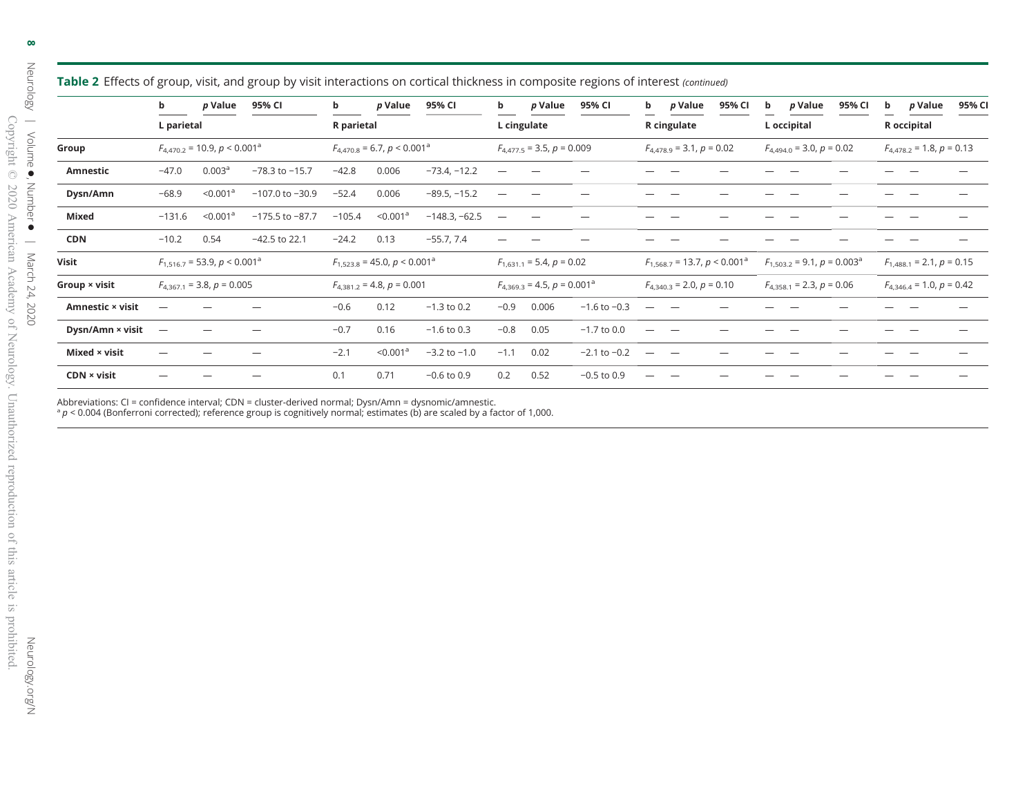|                    | b          | p Value                                   | 95% CI              | b          | p Value                                       | 95% CI           | b                        | p Value                          | 95% CI           | b | p Value                                   | 95% CI | b | p Value                                       | 95% CI | b | p Value                       | 95% CI |
|--------------------|------------|-------------------------------------------|---------------------|------------|-----------------------------------------------|------------------|--------------------------|----------------------------------|------------------|---|-------------------------------------------|--------|---|-----------------------------------------------|--------|---|-------------------------------|--------|
|                    | L parietal |                                           |                     | R parietal |                                               |                  |                          | L cingulate                      |                  |   | R cingulate                               |        |   | L occipital                                   |        |   | R occipital                   |        |
| Group              |            | $F_{4.470.2}$ = 10.9, $p < 0.001^{\circ}$ |                     |            | $F_{4,470.8}$ = 6.7, $p < 0.001$ <sup>a</sup> |                  |                          | $F_{4.477.5}$ = 3.5, $p = 0.009$ |                  |   | $F_{4.478.9} = 3.1, p = 0.02$             |        |   | $F_{4,494,0}$ = 3.0, $p = 0.02$               |        |   | $F_{4,478,2} = 1.8, p = 0.13$ |        |
| Amnestic           | $-47.0$    | 0.003 <sup>a</sup>                        | $-78.3$ to $-15.7$  | $-42.8$    | 0.006                                         | $-73.4, -12.2$   |                          |                                  |                  |   |                                           |        |   |                                               |        |   |                               |        |
| Dysn/Amn           | $-68.9$    | < 0.001 <sup>a</sup>                      | $-107.0$ to $-30.9$ | $-52.4$    | 0.006                                         | $-89.5, -15.2$   |                          |                                  |                  |   |                                           |        |   |                                               |        |   |                               |        |
| Mixed              | $-131.6$   | $<$ 0.001 $^{\circ}$                      | $-175.5$ to $-87.7$ | $-105.4$   | $<$ 0.001 $^{\circ}$                          | $-148.3, -62.5$  | $\overline{\phantom{m}}$ |                                  |                  |   |                                           |        |   |                                               |        |   |                               |        |
| <b>CDN</b>         | $-10.2$    | 0.54                                      | $-42.5$ to 22.1     | $-24.2$    | 0.13                                          | $-55.7, 7.4$     |                          |                                  |                  |   |                                           |        |   |                                               |        |   |                               |        |
| Visit              |            | $F_{1,516,7}$ = 53.9, $p < 0.001^{\circ}$ |                     |            | $F_{1,523.8}$ = 45.0, p < 0.001 <sup>a</sup>  |                  |                          | $F_{1,631,1} = 5.4, p = 0.02$    |                  |   | $F_{1.568,7}$ = 13.7, $p < 0.001^{\circ}$ |        |   | $F_{1.503,2}$ = 9.1, $p = 0.003$ <sup>a</sup> |        |   | $F_{1,488,1} = 2.1, p = 0.15$ |        |
| Group × visit      |            | $F_{4,367,1}$ = 3.8, p = 0.005            |                     |            | $F_{4,381.2} = 4.8, p = 0.001$                |                  |                          | $F_{4,369.3} = 4.5, p = 0.001^a$ |                  |   | $F_{4,340,3} = 2.0, p = 0.10$             |        |   | $F_{4,358,1} = 2.3, p = 0.06$                 |        |   | $F_{4,346,4} = 1.0, p = 0.42$ |        |
| Amnestic × visit   |            |                                           |                     | $-0.6$     | 0.12                                          | $-1.3$ to 0.2    | $-0.9$                   | 0.006                            | $-1.6$ to $-0.3$ |   |                                           |        |   |                                               |        |   |                               |        |
| Dysn/Amn × visit   | -          |                                           |                     | $-0.7$     | 0.16                                          | $-1.6$ to 0.3    | $-0.8$                   | 0.05                             | $-1.7$ to 0.0    |   |                                           |        |   |                                               |        |   |                               |        |
| Mixed × visit      |            |                                           |                     | $-2.1$     | < 0.001 <sup>a</sup>                          | $-3.2$ to $-1.0$ | $-1.1$                   | 0.02                             | $-2.1$ to $-0.2$ |   |                                           |        |   |                                               |        |   |                               |        |
| $CDN \times visit$ |            |                                           |                     | 0.1        | 0.71                                          | $-0.6$ to $0.9$  | 0.2                      | 0.52                             | $-0.5$ to 0.9    |   |                                           |        |   |                                               |        |   |                               |        |

**Table 2** Effects of group, visit, and group by visit interactions on cortical thickness in composite regions of interest (continued)

Abbreviations: CI = confidence interval; CDN = cluster-derived normal; Dysn/Amn = dysnomic/amnestic.<br>ª ρ < 0.004 (Bonferroni corrected); reference group is cognitively normal; estimates (b) are scaled by a factor of 1,000.

[Neurology.org/N](http://neurology.org/n)

Neurology.org/N

 $\infty$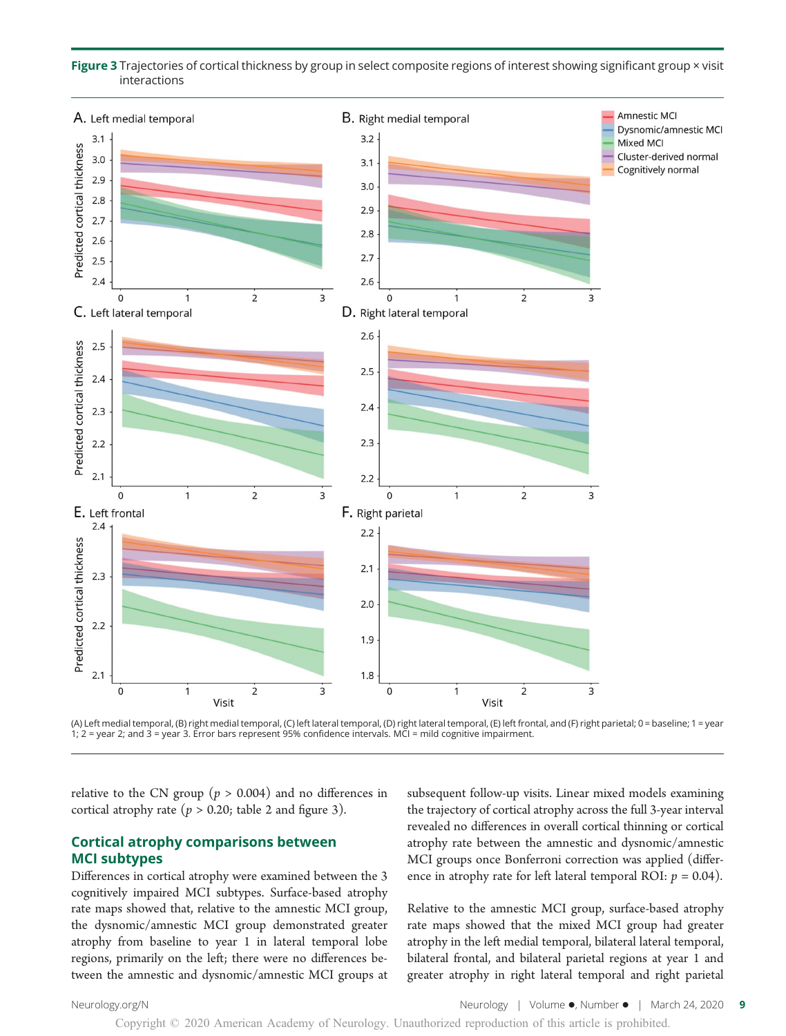Figure 3 Trajectories of cortical thickness by group in select composite regions of interest showing significant group × visit interactions



(A) Left medial temporal, (B) right medial temporal, (C) left lateral temporal, (D) right lateral temporal, (E) left frontal, and (F) right parietal; 0 = baseline; 1 = year 1; 2 = year 2; and 3 = year 3. Error bars represent 95% confidence intervals. MCI = mild cognitive impairment.

relative to the CN group ( $p > 0.004$ ) and no differences in cortical atrophy rate ( $p > 0.20$ ; table 2 and figure 3).

#### Cortical atrophy comparisons between MCI subtypes

Differences in cortical atrophy were examined between the 3 cognitively impaired MCI subtypes. Surface-based atrophy rate maps showed that, relative to the amnestic MCI group, the dysnomic/amnestic MCI group demonstrated greater atrophy from baseline to year 1 in lateral temporal lobe regions, primarily on the left; there were no differences between the amnestic and dysnomic/amnestic MCI groups at subsequent follow-up visits. Linear mixed models examining the trajectory of cortical atrophy across the full 3-year interval revealed no differences in overall cortical thinning or cortical atrophy rate between the amnestic and dysnomic/amnestic MCI groups once Bonferroni correction was applied (difference in atrophy rate for left lateral temporal ROI:  $p = 0.04$ ).

Relative to the amnestic MCI group, surface-based atrophy rate maps showed that the mixed MCI group had greater atrophy in the left medial temporal, bilateral lateral temporal, bilateral frontal, and bilateral parietal regions at year 1 and greater atrophy in right lateral temporal and right parietal

Copyright © 2020 American Academy of Neurology. Unauthorized reproduction of this article is prohibited.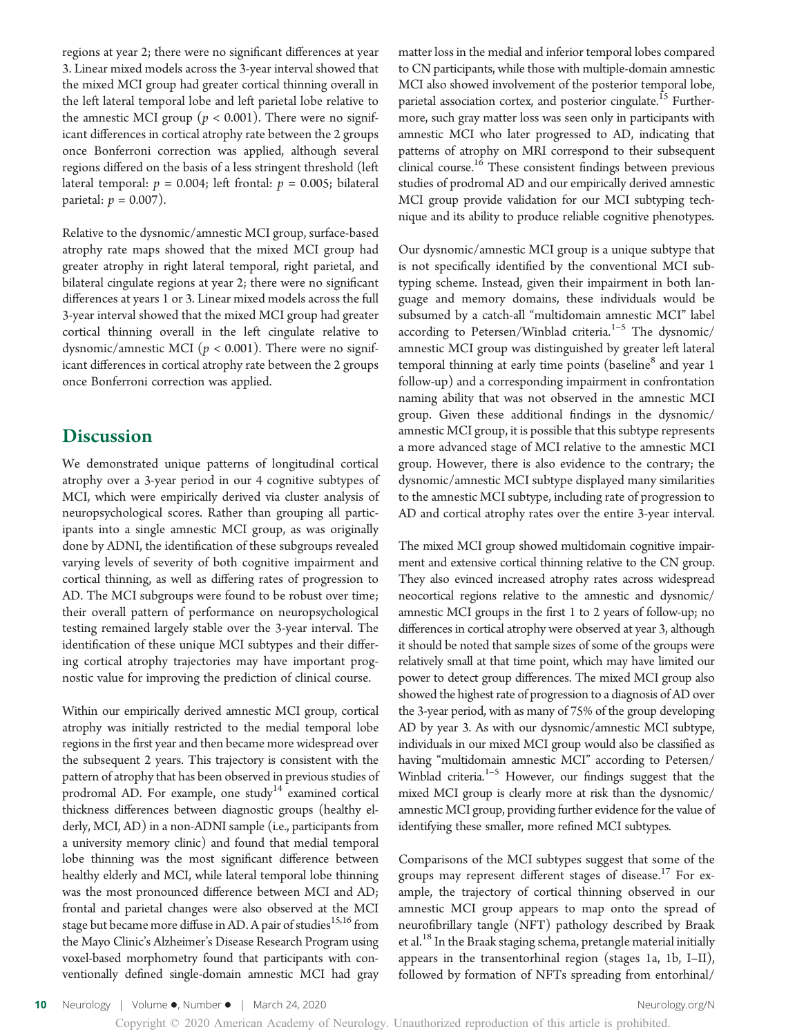regions at year 2; there were no significant differences at year 3. Linear mixed models across the 3-year interval showed that the mixed MCI group had greater cortical thinning overall in the left lateral temporal lobe and left parietal lobe relative to the amnestic MCI group ( $p < 0.001$ ). There were no significant differences in cortical atrophy rate between the 2 groups once Bonferroni correction was applied, although several regions differed on the basis of a less stringent threshold (left lateral temporal:  $p = 0.004$ ; left frontal:  $p = 0.005$ ; bilateral parietal:  $p = 0.007$ ).

Relative to the dysnomic/amnestic MCI group, surface-based atrophy rate maps showed that the mixed MCI group had greater atrophy in right lateral temporal, right parietal, and bilateral cingulate regions at year 2; there were no significant differences at years 1 or 3. Linear mixed models across the full 3-year interval showed that the mixed MCI group had greater cortical thinning overall in the left cingulate relative to dysnomic/amnestic MCI ( $p < 0.001$ ). There were no significant differences in cortical atrophy rate between the 2 groups once Bonferroni correction was applied.

### **Discussion**

We demonstrated unique patterns of longitudinal cortical atrophy over a 3-year period in our 4 cognitive subtypes of MCI, which were empirically derived via cluster analysis of neuropsychological scores. Rather than grouping all participants into a single amnestic MCI group, as was originally done by ADNI, the identification of these subgroups revealed varying levels of severity of both cognitive impairment and cortical thinning, as well as differing rates of progression to AD. The MCI subgroups were found to be robust over time; their overall pattern of performance on neuropsychological testing remained largely stable over the 3-year interval. The identification of these unique MCI subtypes and their differing cortical atrophy trajectories may have important prognostic value for improving the prediction of clinical course.

Within our empirically derived amnestic MCI group, cortical atrophy was initially restricted to the medial temporal lobe regions in the first year and then became more widespread over the subsequent 2 years. This trajectory is consistent with the pattern of atrophy that has been observed in previous studies of prodromal AD. For example, one study<sup>14</sup> examined cortical thickness differences between diagnostic groups (healthy elderly, MCI, AD) in a non-ADNI sample (i.e., participants from a university memory clinic) and found that medial temporal lobe thinning was the most significant difference between healthy elderly and MCI, while lateral temporal lobe thinning was the most pronounced difference between MCI and AD; frontal and parietal changes were also observed at the MCI stage but became more diffuse in AD. A pair of studies  $^{15,16}$  from the Mayo Clinic's Alzheimer's Disease Research Program using voxel-based morphometry found that participants with conventionally defined single-domain amnestic MCI had gray

matter loss in the medial and inferior temporal lobes compared to CN participants, while those with multiple-domain amnestic MCI also showed involvement of the posterior temporal lobe, parietal association cortex, and posterior cingulate.<sup>15</sup> Furthermore, such gray matter loss was seen only in participants with amnestic MCI who later progressed to AD, indicating that patterns of atrophy on MRI correspond to their subsequent clinical course.<sup>16</sup> These consistent findings between previous studies of prodromal AD and our empirically derived amnestic MCI group provide validation for our MCI subtyping technique and its ability to produce reliable cognitive phenotypes.

Our dysnomic/amnestic MCI group is a unique subtype that is not specifically identified by the conventional MCI subtyping scheme. Instead, given their impairment in both language and memory domains, these individuals would be subsumed by a catch-all "multidomain amnestic MCI" label according to Petersen/Winblad criteria. $1-5$  The dysnomic/ amnestic MCI group was distinguished by greater left lateral temporal thinning at early time points (baseline<sup>8</sup> and year 1 follow-up) and a corresponding impairment in confrontation naming ability that was not observed in the amnestic MCI group. Given these additional findings in the dysnomic/ amnestic MCI group, it is possible that this subtype represents a more advanced stage of MCI relative to the amnestic MCI group. However, there is also evidence to the contrary; the dysnomic/amnestic MCI subtype displayed many similarities to the amnestic MCI subtype, including rate of progression to AD and cortical atrophy rates over the entire 3-year interval.

The mixed MCI group showed multidomain cognitive impairment and extensive cortical thinning relative to the CN group. They also evinced increased atrophy rates across widespread neocortical regions relative to the amnestic and dysnomic/ amnestic MCI groups in the first 1 to 2 years of follow-up; no differences in cortical atrophy were observed at year 3, although it should be noted that sample sizes of some of the groups were relatively small at that time point, which may have limited our power to detect group differences. The mixed MCI group also showed the highest rate of progression to a diagnosis of AD over the 3-year period, with as many of 75% of the group developing AD by year 3. As with our dysnomic/amnestic MCI subtype, individuals in our mixed MCI group would also be classified as having "multidomain amnestic MCI" according to Petersen/ Winblad criteria.<sup>1-5</sup> However, our findings suggest that the mixed MCI group is clearly more at risk than the dysnomic/ amnestic MCI group, providing further evidence for the value of identifying these smaller, more refined MCI subtypes.

Comparisons of the MCI subtypes suggest that some of the groups may represent different stages of disease.<sup>17</sup> For example, the trajectory of cortical thinning observed in our amnestic MCI group appears to map onto the spread of neurofibrillary tangle (NFT) pathology described by Braak et al.<sup>18</sup> In the Braak staging schema, pretangle material initially appears in the transentorhinal region (stages 1a, 1b, I–II), followed by formation of NFTs spreading from entorhinal/

10 Neurology | Volume •, Number • | March 24, 2020 [Neurology.org/N](http://neurology.org/n)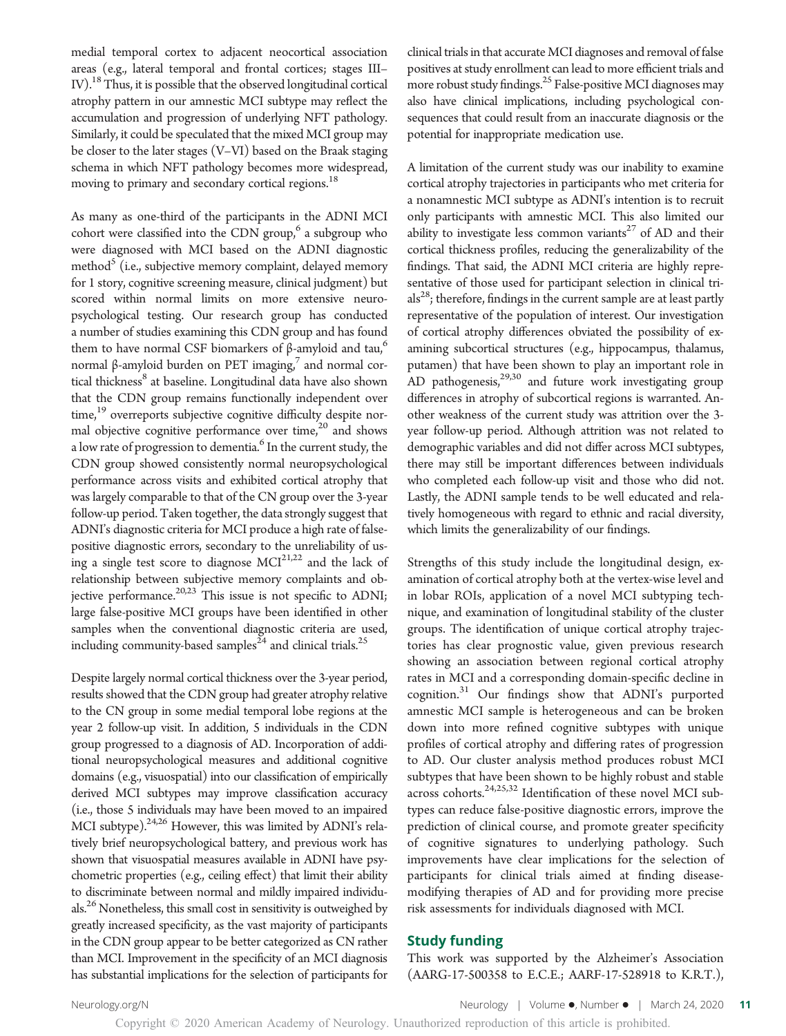medial temporal cortex to adjacent neocortical association areas (e.g., lateral temporal and frontal cortices; stages III– IV).<sup>18</sup> Thus, it is possible that the observed longitudinal cortical atrophy pattern in our amnestic MCI subtype may reflect the accumulation and progression of underlying NFT pathology. Similarly, it could be speculated that the mixed MCI group may be closer to the later stages (V–VI) based on the Braak staging schema in which NFT pathology becomes more widespread, moving to primary and secondary cortical regions.<sup>18</sup>

As many as one-third of the participants in the ADNI MCI cohort were classified into the CDN group, $6$  a subgroup who were diagnosed with MCI based on the ADNI diagnostic method<sup>5</sup> (i.e., subjective memory complaint, delayed memory for 1 story, cognitive screening measure, clinical judgment) but scored within normal limits on more extensive neuropsychological testing. Our research group has conducted a number of studies examining this CDN group and has found them to have normal CSF biomarkers of β-amyloid and tau, $<sup>6</sup>$ </sup> normal β-amyloid burden on PET imaging,<sup>7</sup> and normal cortical thickness<sup>8</sup> at baseline. Longitudinal data have also shown that the CDN group remains functionally independent over time, $19$  overreports subjective cognitive difficulty despite normal objective cognitive performance over time,<sup>20</sup> and shows a low rate of progression to dementia.<sup>6</sup> In the current study, the CDN group showed consistently normal neuropsychological performance across visits and exhibited cortical atrophy that was largely comparable to that of the CN group over the 3-year follow-up period. Taken together, the data strongly suggest that ADNI's diagnostic criteria for MCI produce a high rate of falsepositive diagnostic errors, secondary to the unreliability of using a single test score to diagnose MCI<sup>21,22</sup> and the lack of relationship between subjective memory complaints and objective performance.<sup>20,23</sup> This issue is not specific to ADNI; large false-positive MCI groups have been identified in other samples when the conventional diagnostic criteria are used, including community-based samples<sup>24</sup> and clinical trials.<sup>25</sup>

Despite largely normal cortical thickness over the 3-year period, results showed that the CDN group had greater atrophy relative to the CN group in some medial temporal lobe regions at the year 2 follow-up visit. In addition, 5 individuals in the CDN group progressed to a diagnosis of AD. Incorporation of additional neuropsychological measures and additional cognitive domains (e.g., visuospatial) into our classification of empirically derived MCI subtypes may improve classification accuracy (i.e., those 5 individuals may have been moved to an impaired MCI subtype). $24,26$  However, this was limited by ADNI's relatively brief neuropsychological battery, and previous work has shown that visuospatial measures available in ADNI have psychometric properties (e.g., ceiling effect) that limit their ability to discriminate between normal and mildly impaired individuals.<sup>26</sup> Nonetheless, this small cost in sensitivity is outweighed by greatly increased specificity, as the vast majority of participants in the CDN group appear to be better categorized as CN rather than MCI. Improvement in the specificity of an MCI diagnosis has substantial implications for the selection of participants for clinical trials in that accurate MCI diagnoses and removal of false positives at study enrollment can lead to more efficient trials and more robust study findings.<sup>25</sup> False-positive MCI diagnoses may also have clinical implications, including psychological consequences that could result from an inaccurate diagnosis or the potential for inappropriate medication use.

A limitation of the current study was our inability to examine cortical atrophy trajectories in participants who met criteria for a nonamnestic MCI subtype as ADNI's intention is to recruit only participants with amnestic MCI. This also limited our ability to investigate less common variants<sup>27</sup> of AD and their cortical thickness profiles, reducing the generalizability of the findings. That said, the ADNI MCI criteria are highly representative of those used for participant selection in clinical tri $als<sup>28</sup>$ ; therefore, findings in the current sample are at least partly representative of the population of interest. Our investigation of cortical atrophy differences obviated the possibility of examining subcortical structures (e.g., hippocampus, thalamus, putamen) that have been shown to play an important role in AD pathogenesis,<sup>29,30</sup> and future work investigating group differences in atrophy of subcortical regions is warranted. Another weakness of the current study was attrition over the 3 year follow-up period. Although attrition was not related to demographic variables and did not differ across MCI subtypes, there may still be important differences between individuals who completed each follow-up visit and those who did not. Lastly, the ADNI sample tends to be well educated and relatively homogeneous with regard to ethnic and racial diversity, which limits the generalizability of our findings.

Strengths of this study include the longitudinal design, examination of cortical atrophy both at the vertex-wise level and in lobar ROIs, application of a novel MCI subtyping technique, and examination of longitudinal stability of the cluster groups. The identification of unique cortical atrophy trajectories has clear prognostic value, given previous research showing an association between regional cortical atrophy rates in MCI and a corresponding domain-specific decline in cognition.<sup>31</sup> Our findings show that ADNI's purported amnestic MCI sample is heterogeneous and can be broken down into more refined cognitive subtypes with unique profiles of cortical atrophy and differing rates of progression to AD. Our cluster analysis method produces robust MCI subtypes that have been shown to be highly robust and stable across cohorts.<sup>24,25,32</sup> Identification of these novel MCI subtypes can reduce false-positive diagnostic errors, improve the prediction of clinical course, and promote greater specificity of cognitive signatures to underlying pathology. Such improvements have clear implications for the selection of participants for clinical trials aimed at finding diseasemodifying therapies of AD and for providing more precise risk assessments for individuals diagnosed with MCI.

#### Study funding

This work was supported by the Alzheimer's Association (AARG-17-500358 to E.C.E.; AARF-17-528918 to K.R.T.),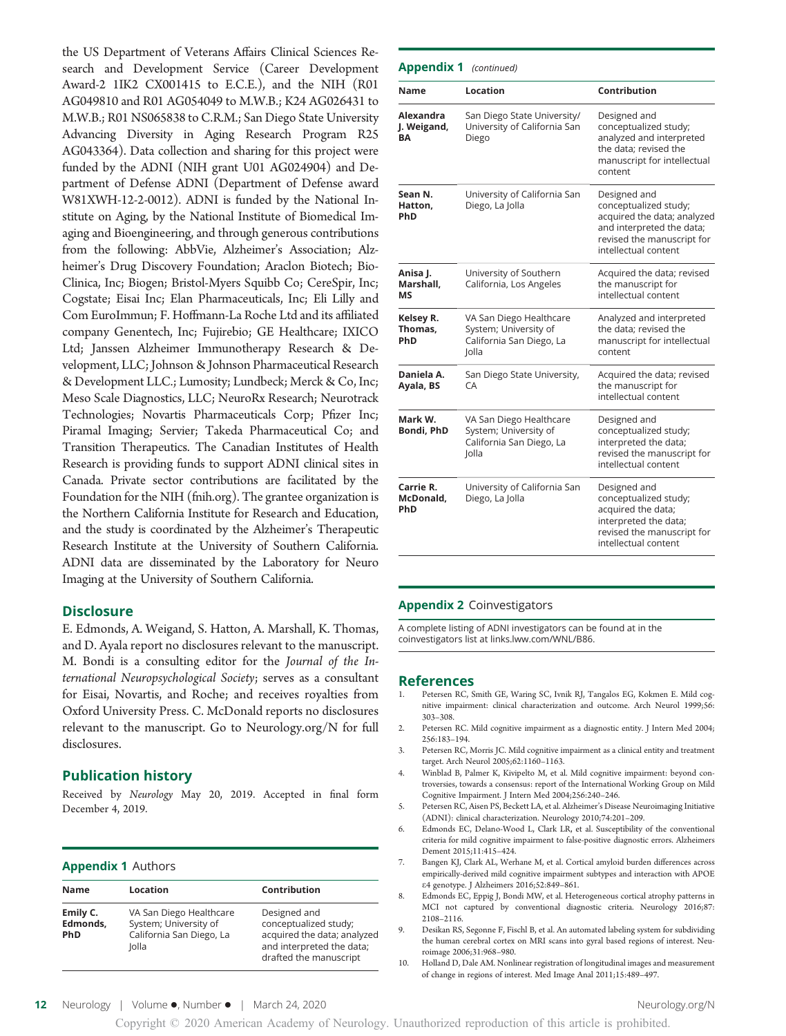the US Department of Veterans Affairs Clinical Sciences Research and Development Service (Career Development Award-2 1IK2 CX001415 to E.C.E.), and the NIH (R01 AG049810 and R01 AG054049 to M.W.B.; K24 AG026431 to M.W.B.; R01 NS065838 to C.R.M.; San Diego State University Advancing Diversity in Aging Research Program R25 AG043364). Data collection and sharing for this project were funded by the ADNI (NIH grant U01 AG024904) and Department of Defense ADNI (Department of Defense award W81XWH-12-2-0012). ADNI is funded by the National Institute on Aging, by the National Institute of Biomedical Imaging and Bioengineering, and through generous contributions from the following: AbbVie, Alzheimer's Association; Alzheimer's Drug Discovery Foundation; Araclon Biotech; Bio-Clinica, Inc; Biogen; Bristol-Myers Squibb Co; CereSpir, Inc; Cogstate; Eisai Inc; Elan Pharmaceuticals, Inc; Eli Lilly and Com EuroImmun; F. Hoffmann-La Roche Ltd and its affiliated company Genentech, Inc; Fujirebio; GE Healthcare; IXICO Ltd; Janssen Alzheimer Immunotherapy Research & Development, LLC; Johnson & Johnson Pharmaceutical Research & Development LLC.; Lumosity; Lundbeck; Merck & Co, Inc; Meso Scale Diagnostics, LLC; NeuroRx Research; Neurotrack Technologies; Novartis Pharmaceuticals Corp; Pfizer Inc; Piramal Imaging; Servier; Takeda Pharmaceutical Co; and Transition Therapeutics. The Canadian Institutes of Health Research is providing funds to support ADNI clinical sites in Canada. Private sector contributions are facilitated by the Foundation for the NIH [\(fnih.org\)](http://www.fnih.org). The grantee organization is the Northern California Institute for Research and Education, and the study is coordinated by the Alzheimer's Therapeutic Research Institute at the University of Southern California. ADNI data are disseminated by the Laboratory for Neuro Imaging at the University of Southern California.

#### **Disclosure**

E. Edmonds, A. Weigand, S. Hatton, A. Marshall, K. Thomas, and D. Ayala report no disclosures relevant to the manuscript. M. Bondi is a consulting editor for the Journal of the International Neuropsychological Society; serves as a consultant for Eisai, Novartis, and Roche; and receives royalties from Oxford University Press. C. McDonald reports no disclosures relevant to the manuscript. Go to [Neurology.org/N](https://n.neurology.org/lookup/doi/10.1212/WNL.0000000000009462) for full disclosures.

#### Publication history

Received by Neurology May 20, 2019. Accepted in final form December 4, 2019.

#### Appendix 1 Authors

| <b>Name</b>                        | Location                                                                              | Contribution                                                                                                                |
|------------------------------------|---------------------------------------------------------------------------------------|-----------------------------------------------------------------------------------------------------------------------------|
| Emily C.<br>Edmonds,<br><b>PhD</b> | VA San Diego Healthcare<br>System; University of<br>California San Diego, La<br>Iolla | Designed and<br>conceptualized study;<br>acquired the data; analyzed<br>and interpreted the data;<br>drafted the manuscript |

| Appendix 1                     | (continued)                                                                           |                                                                                                                                                         |
|--------------------------------|---------------------------------------------------------------------------------------|---------------------------------------------------------------------------------------------------------------------------------------------------------|
| Name                           | Location                                                                              | Contribution                                                                                                                                            |
| Alexandra<br>J. Weigand,<br>BА | San Diego State University/<br>University of California San<br>Diego                  | Designed and<br>conceptualized study;<br>analyzed and interpreted<br>the data; revised the<br>manuscript for intellectual<br>content                    |
| Sean N.<br>Hatton.<br>PhD      | University of California San<br>Diego, La Jolla                                       | Designed and<br>conceptualized study;<br>acquired the data; analyzed<br>and interpreted the data;<br>revised the manuscript for<br>intellectual content |
| Anisa J.<br>Marshall,<br>ΜS    | University of Southern<br>California, Los Angeles                                     | Acquired the data; revised<br>the manuscript for<br>intellectual content                                                                                |
| Kelsey R.<br>Thomas,<br>PhD    | VA San Diego Healthcare<br>System; University of<br>California San Diego, La<br>Jolla | Analyzed and interpreted<br>the data; revised the<br>manuscript for intellectual<br>content                                                             |
| Daniela A.<br>Ayala, BS        | San Diego State University,<br>СA                                                     | Acquired the data; revised<br>the manuscript for<br>intellectual content                                                                                |
| Mark W.<br>Bondi, PhD          | VA San Diego Healthcare<br>System; University of<br>California San Diego, La<br>Jolla | Designed and<br>conceptualized study;<br>interpreted the data;<br>revised the manuscript for<br>intellectual content                                    |
| Carrie R.<br>McDonald,<br>PhD  | University of California San<br>Diego, La Jolla                                       | Designed and<br>conceptualized study;<br>acquired the data;<br>interpreted the data;<br>revised the manuscript for<br>intellectual content              |

#### Appendix 2 Coinvestigators

A complete listing of ADNI investigators can be found at in the coinvestigators list at [links.lww.com/WNL/B86.](http://links.lww.com/WNL/B86)

#### References

- 1. Petersen RC, Smith GE, Waring SC, Ivnik RJ, Tangalos EG, Kokmen E. Mild cognitive impairment: clinical characterization and outcome. Arch Neurol 1999;56: 303–308.
- 2. Petersen RC. Mild cognitive impairment as a diagnostic entity. J Intern Med 2004; 256:183–194.
- 3. Petersen RC, Morris JC. Mild cognitive impairment as a clinical entity and treatment target. Arch Neurol 2005;62:1160–1163.
- 4. Winblad B, Palmer K, Kivipelto M, et al. Mild cognitive impairment: beyond controversies, towards a consensus: report of the International Working Group on Mild Cognitive Impairment. J Intern Med 2004;256:240–246.
- 5. Petersen RC, Aisen PS, Beckett LA, et al. Alzheimer's Disease Neuroimaging Initiative (ADNI): clinical characterization. Neurology 2010;74:201–209.
- 6. Edmonds EC, Delano-Wood L, Clark LR, et al. Susceptibility of the conventional criteria for mild cognitive impairment to false-positive diagnostic errors. Alzheimers Dement 2015;11:415–424.
- 7. Bangen KJ, Clark AL, Werhane M, et al. Cortical amyloid burden differences across empirically-derived mild cognitive impairment subtypes and interaction with APOE e4 genotype. J Alzheimers 2016;52:849–861.
- 8. Edmonds EC, Eppig J, Bondi MW, et al. Heterogeneous cortical atrophy patterns in MCI not captured by conventional diagnostic criteria. Neurology 2016;87: 2108–2116.
- 9. Desikan RS, Segonne F, Fischl B, et al. An automated labeling system for subdividing the human cerebral cortex on MRI scans into gyral based regions of interest. Neuroimage 2006;31:968–980.
- 10. Holland D, Dale AM. Nonlinear registration of longitudinal images and measurement of change in regions of interest. Med Image Anal 2011;15:489–497.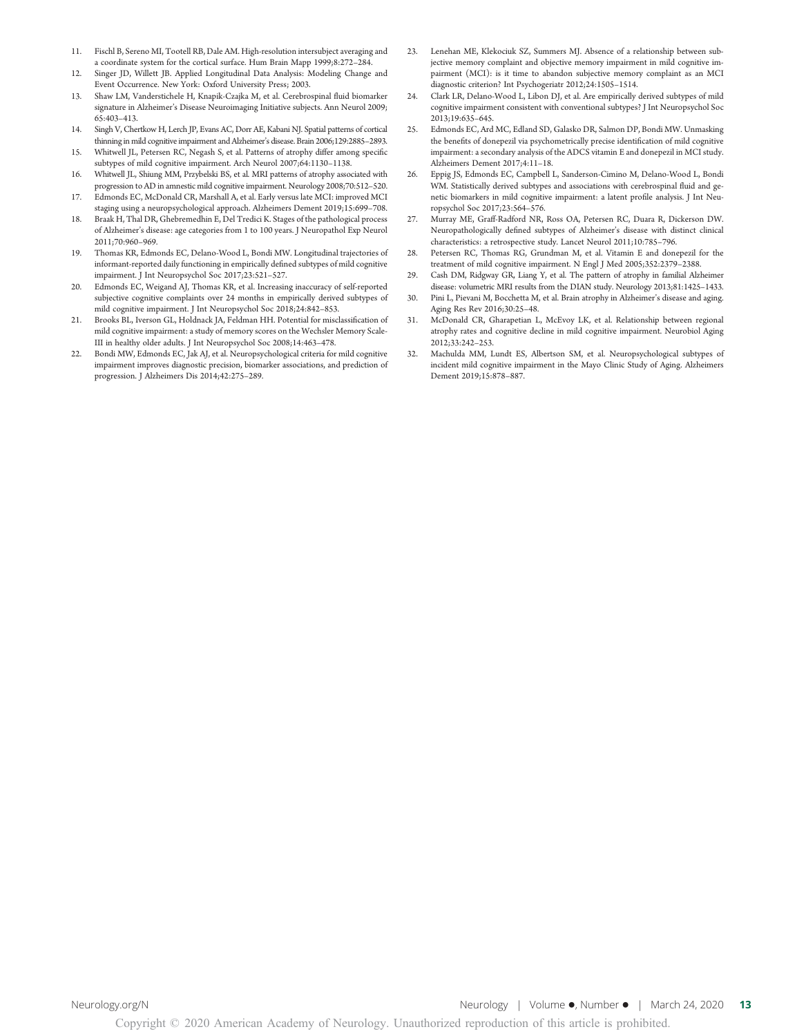- Fischl B, Sereno MI, Tootell RB, Dale AM. High-resolution intersubject averaging and a coordinate system for the cortical surface. Hum Brain Mapp 1999;8:272–284.
- 12. Singer JD, Willett JB. Applied Longitudinal Data Analysis: Modeling Change and Event Occurrence. New York: Oxford University Press; 2003.
- 13. Shaw LM, Vanderstichele H, Knapik-Czajka M, et al. Cerebrospinal fluid biomarker signature in Alzheimer's Disease Neuroimaging Initiative subjects. Ann Neurol 2009; 65:403–413.
- 14. Singh V, Chertkow H, Lerch JP, Evans AC, Dorr AE, Kabani NJ. Spatial patterns of cortical thinning in mild cognitive impairment and Alzheimer's disease. Brain 2006;129:2885–2893.
- 15. Whitwell JL, Petersen RC, Negash S, et al. Patterns of atrophy differ among specific subtypes of mild cognitive impairment. Arch Neurol 2007;64:1130–1138.
- 16. Whitwell JL, Shiung MM, Przybelski BS, et al. MRI patterns of atrophy associated with progression to AD in amnestic mild cognitive impairment. Neurology 2008;70:512–520.
- 17. Edmonds EC, McDonald CR, Marshall A, et al. Early versus late MCI: improved MCI staging using a neuropsychological approach. Alzheimers Dement 2019;15:699–708.
- 18. Braak H, Thal DR, Ghebremedhin E, Del Tredici K. Stages of the pathological process of Alzheimer's disease: age categories from 1 to 100 years. J Neuropathol Exp Neurol 2011;70:960–969.
- 19. Thomas KR, Edmonds EC, Delano-Wood L, Bondi MW. Longitudinal trajectories of informant-reported daily functioning in empirically defined subtypes of mild cognitive impairment. J Int Neuropsychol Soc 2017;23:521–527.
- 20. Edmonds EC, Weigand AJ, Thomas KR, et al. Increasing inaccuracy of self-reported subjective cognitive complaints over 24 months in empirically derived subtypes of mild cognitive impairment. J Int Neuropsychol Soc 2018;24:842–853.
- 21. Brooks BL, Iverson GL, Holdnack JA, Feldman HH. Potential for misclassification of mild cognitive impairment: a study of memory scores on the Wechsler Memory Scale-III in healthy older adults. J Int Neuropsychol Soc 2008;14:463–478.
- 22. Bondi MW, Edmonds EC, Jak AJ, et al. Neuropsychological criteria for mild cognitive impairment improves diagnostic precision, biomarker associations, and prediction of progression. J Alzheimers Dis 2014;42:275–289.
- Lenehan ME, Klekociuk SZ, Summers MJ. Absence of a relationship between subjective memory complaint and objective memory impairment in mild cognitive impairment (MCI): is it time to abandon subjective memory complaint as an MCI diagnostic criterion? Int Psychogeriatr 2012;24:1505–1514.
- 24. Clark LR, Delano-Wood L, Libon DJ, et al. Are empirically derived subtypes of mild cognitive impairment consistent with conventional subtypes? J Int Neuropsychol Soc 2013;19:635–645.
- 25. Edmonds EC, Ard MC, Edland SD, Galasko DR, Salmon DP, Bondi MW. Unmasking the benefits of donepezil via psychometrically precise identification of mild cognitive impairment: a secondary analysis of the ADCS vitamin E and donepezil in MCI study. Alzheimers Dement 2017;4:11–18.
- 26. Eppig JS, Edmonds EC, Campbell L, Sanderson-Cimino M, Delano-Wood L, Bondi WM. Statistically derived subtypes and associations with cerebrospinal fluid and genetic biomarkers in mild cognitive impairment: a latent profile analysis. J Int Neuropsychol Soc 2017;23:564–576.
- 27. Murray ME, Graff-Radford NR, Ross OA, Petersen RC, Duara R, Dickerson DW. Neuropathologically defined subtypes of Alzheimer's disease with distinct clinical characteristics: a retrospective study. Lancet Neurol 2011;10:785–796.
- 28. Petersen RC, Thomas RG, Grundman M, et al. Vitamin E and donepezil for the treatment of mild cognitive impairment. N Engl J Med 2005;352:2379–2388.
- 29. Cash DM, Ridgway GR, Liang Y, et al. The pattern of atrophy in familial Alzheimer disease: volumetric MRI results from the DIAN study. Neurology 2013;81:1425–1433.
- 30. Pini L, Pievani M, Bocchetta M, et al. Brain atrophy in Alzheimer's disease and aging. Aging Res Rev 2016;30:25–48.
- 31. McDonald CR, Gharapetian L, McEvoy LK, et al. Relationship between regional atrophy rates and cognitive decline in mild cognitive impairment. Neurobiol Aging 2012;33:242–253.
- 32. Machulda MM, Lundt ES, Albertson SM, et al. Neuropsychological subtypes of incident mild cognitive impairment in the Mayo Clinic Study of Aging. Alzheimers Dement 2019;15:878–887.